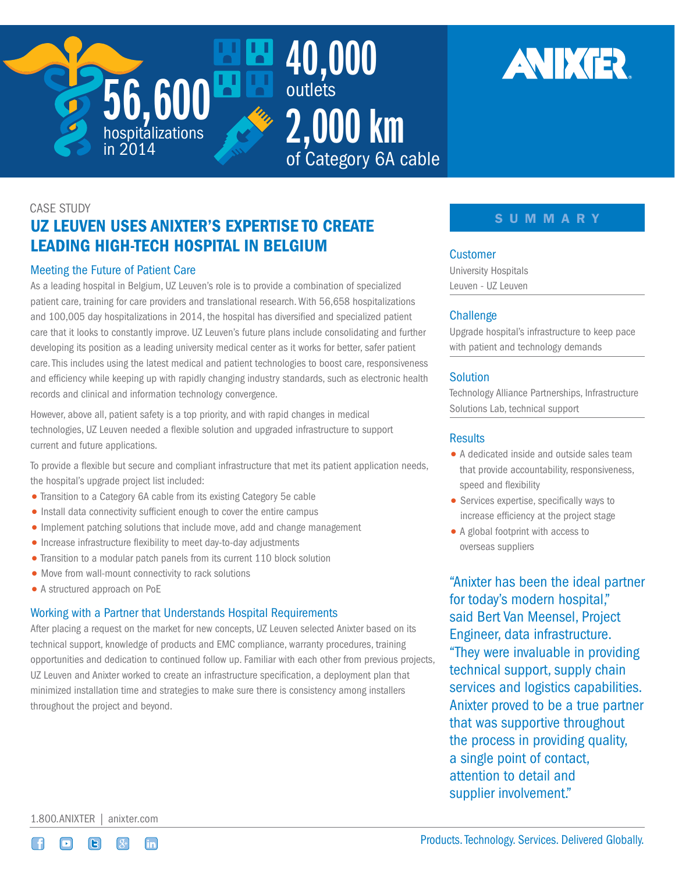



# CASE STUDY UZ LEUVEN USES ANIXTER'S EXPERTISE TO CREATE LEADING HIGH-TECH HOSPITAL IN BELGIUM

# Meeting the Future of Patient Care

As a leading hospital in Belgium, UZ Leuven's role is to provide a combination of specialized patient care, training for care providers and translational research. With 56,658 hospitalizations and 100,005 day hospitalizations in 2014, the hospital has diversified and specialized patient care that it looks to constantly improve. UZ Leuven's future plans include consolidating and further developing its position as a leading university medical center as it works for better, safer patient care. This includes using the latest medical and patient technologies to boost care, responsiveness and efficiency while keeping up with rapidly changing industry standards, such as electronic health records and clinical and information technology convergence.

However, above all, patient safety is a top priority, and with rapid changes in medical technologies, UZ Leuven needed a flexible solution and upgraded infrastructure to support current and future applications.

To provide a flexible but secure and compliant infrastructure that met its patient application needs, the hospital's upgrade project list included:

- Transition to a Category 6A cable from its existing Category 5e cable
- Install data connectivity sufficient enough to cover the entire campus
- Implement patching solutions that include move, add and change management
- Increase infrastructure flexibility to meet day-to-day adjustments
- Transition to a modular patch panels from its current 110 block solution
- Move from wall-mount connectivity to rack solutions
- A structured approach on PoE

# Working with a Partner that Understands Hospital Requirements

After placing a request on the market for new concepts, UZ Leuven selected Anixter based on its technical support, knowledge of products and EMC compliance, warranty procedures, training opportunities and dedication to continued follow up. Familiar with each other from previous projects, UZ Leuven and Anixter worked to create an infrastructure specification, a deployment plan that minimized installation time and strategies to make sure there is consistency among installers throughout the project and beyond.

# SUMMARY

#### **Customer**

University Hospitals Leuven - UZ Leuven

# **Challenge**

Upgrade hospital's infrastructure to keep pace with patient and technology demands

## **Solution**

Technology Alliance Partnerships, Infrastructure Solutions Lab, technical support

## **Results**

- A dedicated inside and outside sales team that provide accountability, responsiveness, speed and flexibility
- Services expertise, specifically ways to increase efficiency at the project stage
- A global footprint with access to overseas suppliers

"Anixter has been the ideal partner for today's modern hospital," said Bert Van Meensel, Project Engineer, data infrastructure. "They were invaluable in providing technical support, supply chain services and logistics capabilities. Anixter proved to be a true partner that was supportive throughout the process in providing quality, a single point of contact, attention to detail and supplier involvement."

1.800.ANIXTER | [anixter.com](http://www.anixter.com)



Products. Technology. Services. Delivered Globally.